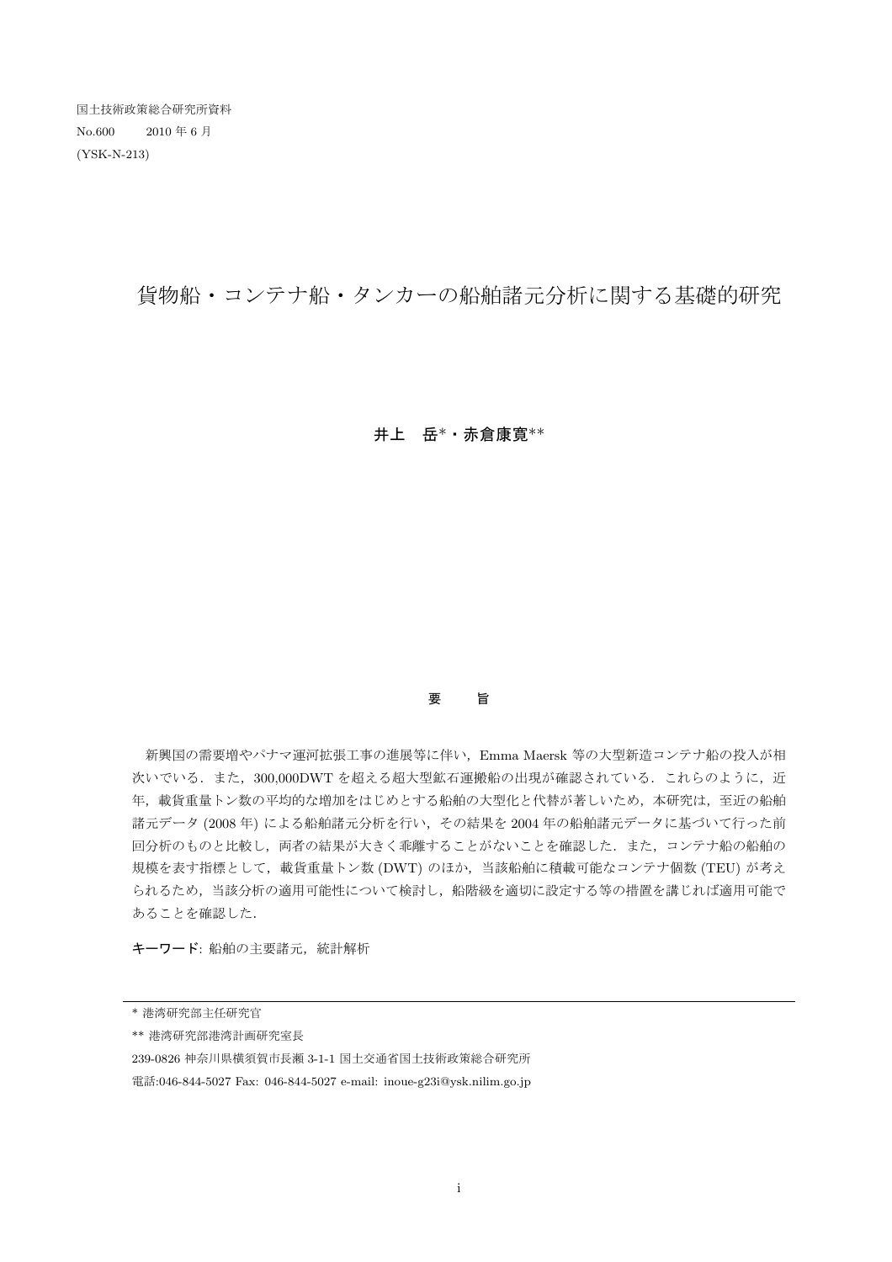国土技術政策総合研究所資料 No.600 2010 年 6 月 (YSK-N-213)

貨物船・コンテナ船・タンカーの船舶諸元分析に関する基礎的研究

## 井上 岳\*・赤倉康寛\*\*

## 要 旨

 新興国の需要増やパナマ運河拡張工事の進展等に伴い,Emma Maersk 等の大型新造コンテナ船の投入が相 次いでいる.また,300,000DWTを超える超大型鉱石運搬船の出現が確認されている. これらのように,近 年、載貨重量トン数の平均的な増加をはじめとする船舶の大型化と代替が著しいため、本研究は、至近の船舶 諸元データ (2008 年) による船舶諸元分析を行い,その結果を 2004 年の船舶諸元データに基づいて行った前 回分析のものと比較し,両者の結果が大きく乖離することがないことを確認した.また,コンテナ船の船舶の 規模を表す指標として、載貨重量トン数 (DWT) のほか、当該船舶に積載可能なコンテナ個数 (TEU) が考え られるため,当該分析の適用可能性について検討し,船階級を適切に設定する等の措置を講じれば適用可能で あることを確認した.

キーワード: 船舶の主要諸元,統計解析

<sup>\*</sup> 港湾研究部主任研究官

<sup>\*\*</sup> 港湾研究部港湾計画研究室長

<sup>239-0826</sup> 神奈川県横須賀市長瀬 3-1-1 国土交通省国土技術政策総合研究所

電話:046-844-5027 Fax: 046-844-5027 e-mail: inoue-g23i@ysk.nilim.go.jp